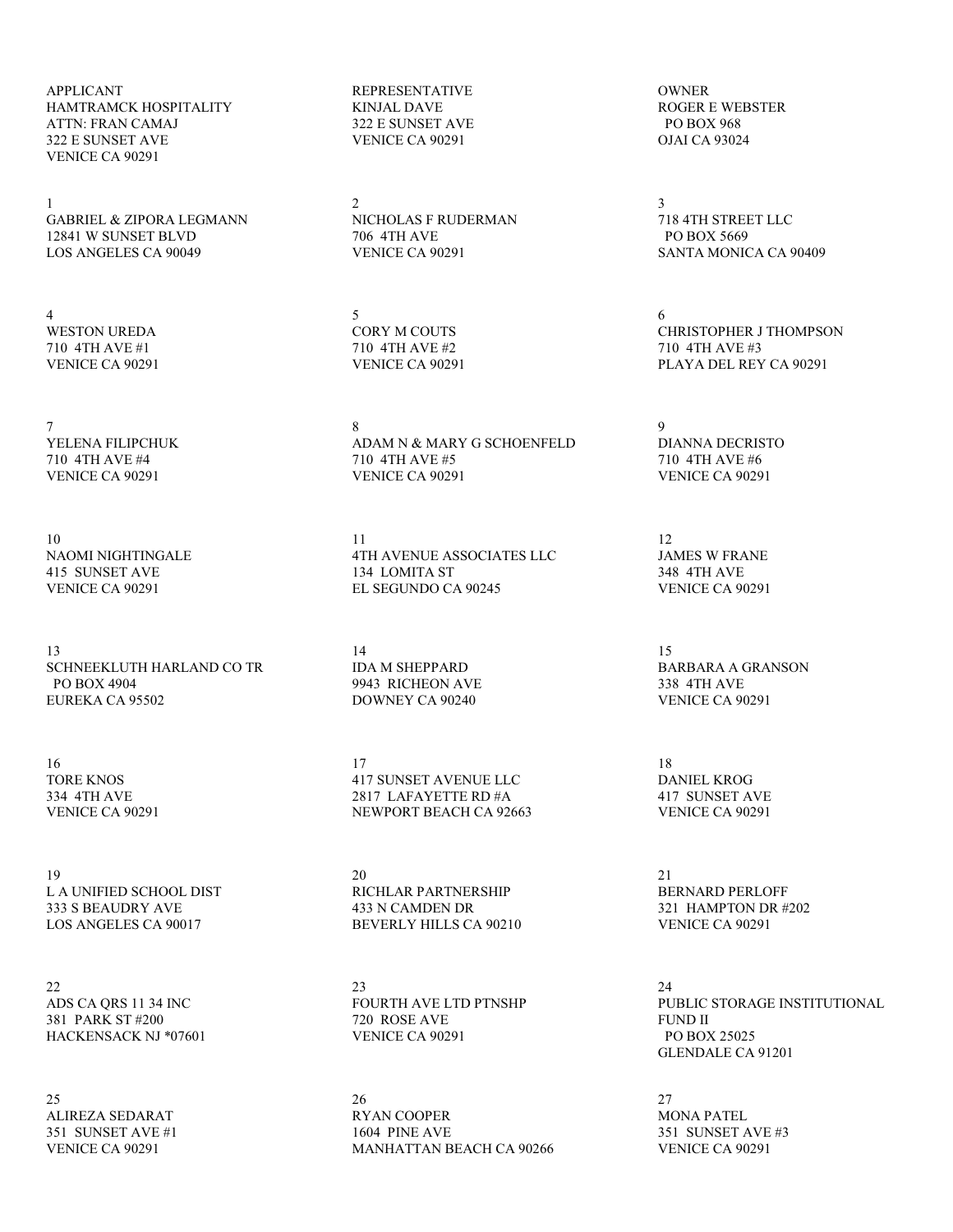APPLICANT HAMTRAMCK HOSPITALITY ATTN: FRAN CAMAJ 322 E SUNSET AVE VENICE CA 90291

1 GABRIEL & ZIPORA LEGMANN 12841 W SUNSET BLVD LOS ANGELES CA 90049

4 WESTON UREDA 710 4TH AVE #1 VENICE CA 90291

7 YELENA FILIPCHUK 710 4TH AVE #4 VENICE CA 90291

10 NAOMI NIGHTINGALE 415 SUNSET AVE VENICE CA 90291

13 SCHNEEKLUTH HARLAND CO TR PO BOX 4904 EUREKA CA 95502

16 TORE KNOS 334 4TH AVE VENICE CA 90291

19 L A UNIFIED SCHOOL DIST 333 S BEAUDRY AVE LOS ANGELES CA 90017

22 ADS CA QRS 11 34 INC 381 PARK ST #200 HACKENSACK NJ \*07601

25 ALIREZA SEDARAT 351 SUNSET AVE #1 VENICE CA 90291

REPRESENTATIVE KINJAL DAVE 322 E SUNSET AVE VENICE CA 90291

 $\mathcal{D}$ 

NICHOLAS F RUDERMAN 706 4TH AVE VENICE CA 90291

5 CORY M COUTS 710 4TH AVE #2 VENICE CA 90291

8 ADAM N & MARY G SCHOENFELD 710 4TH AVE #5 VENICE CA 90291

11 4TH AVENUE ASSOCIATES LLC 134 LOMITA ST EL SEGUNDO CA 90245

14 IDA M SHEPPARD 9943 RICHEON AVE DOWNEY CA 90240

17 417 SUNSET AVENUE LLC 2817 LAFAYETTE RD #A NEWPORT BEACH CA 92663

20 RICHLAR PARTNERSHIP 433 N CAMDEN DR BEVERLY HILLS CA 90210

23 FOURTH AVE LTD PTNSHP 720 ROSE AVE VENICE CA 90291

26 RYAN COOPER 1604 PINE AVE MANHATTAN BEACH CA 90266 OWNER ROGER E WEBSTER PO BOX 968 OJAI CA 93024

3 718 4TH STREET LLC PO BOX 5669 SANTA MONICA CA 90409

6 CHRISTOPHER J THOMPSON 710 4TH AVE #3 PLAYA DEL REY CA 90291

 $\overline{Q}$ DIANNA DECRISTO 710 4TH AVE #6 VENICE CA 90291

12 JAMES W FRANE 348 4TH AVE VENICE CA 90291

15 BARBARA A GRANSON 338 4TH AVE VENICE CA 90291

18 DANIEL KROG 417 SUNSET AVE VENICE CA 90291

21 BERNARD PERLOFF 321 HAMPTON DR #202 VENICE CA 90291

24 PUBLIC STORAGE INSTITUTIONAL FUND II PO BOX 25025 GLENDALE CA 91201

27 MONA PATEL 351 SUNSET AVE #3 VENICE CA 90291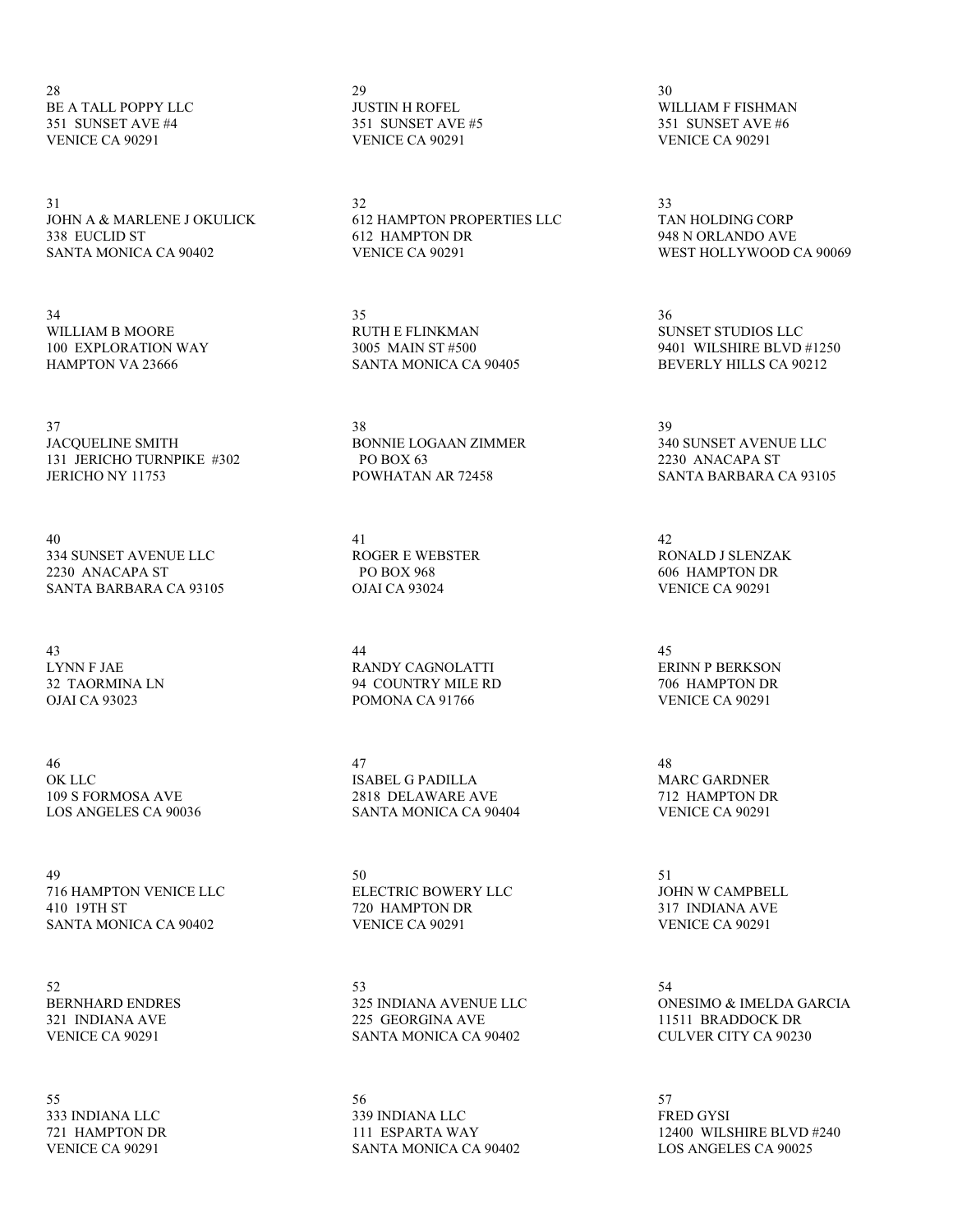28 BE A TALL POPPY LLC 351 SUNSET AVE #4 VENICE CA 90291

31 JOHN A & MARLENE J OKULICK 338 EUCLID ST SANTA MONICA CA 90402

34 WILLIAM B MOORE 100 EXPLORATION WAY HAMPTON VA 23666

37 JACQUELINE SMITH 131 JERICHO TURNPIKE #302 JERICHO NY 11753

40 334 SUNSET AVENUE LLC 2230 ANACAPA ST SANTA BARBARA CA 93105

43 LYNN F JAE 32 TAORMINA LN OJAI CA 93023

46 OK LLC 109 S FORMOSA AVE LOS ANGELES CA 90036

49 716 HAMPTON VENICE LLC 410 19TH ST SANTA MONICA CA 90402

52 BERNHARD ENDRES 321 INDIANA AVE VENICE CA 90291

55 333 INDIANA LLC 721 HAMPTON DR VENICE CA 90291

29 JUSTIN H ROFEL 351 SUNSET AVE #5 VENICE CA 90291

32 612 HAMPTON PROPERTIES LLC 612 HAMPTON DR VENICE CA 90291

35 RUTH E FLINKMAN 3005 MAIN ST #500 SANTA MONICA CA 90405

38 BONNIE LOGAAN ZIMMER PO BOX 63 POWHATAN AR 72458

41 ROGER E WEBSTER PO BOX 968 OJAI CA 93024

44 RANDY CAGNOLATTI 94 COUNTRY MILE RD POMONA CA 91766

47 ISABEL G PADILLA 2818 DELAWARE AVE SANTA MONICA CA 90404

50 ELECTRIC BOWERY LLC 720 HAMPTON DR VENICE CA 90291

53 325 INDIANA AVENUE LLC 225 GEORGINA AVE SANTA MONICA CA 90402

56 339 INDIANA LLC 111 ESPARTA WAY SANTA MONICA CA 90402 30 WILLIAM F FISHMAN 351 SUNSET AVE #6 VENICE CA 90291

33 TAN HOLDING CORP 948 N ORLANDO AVE WEST HOLLYWOOD CA 90069

36 SUNSET STUDIOS LLC 9401 WILSHIRE BLVD #1250 BEVERLY HILLS CA 90212

39 340 SUNSET AVENUE LLC 2230 ANACAPA ST SANTA BARBARA CA 93105

42 RONALD J SLENZAK 606 HAMPTON DR VENICE CA 90291

45 ERINN P BERKSON 706 HAMPTON DR VENICE CA 90291

48 MARC GARDNER 712 HAMPTON DR VENICE CA 90291

51 JOHN W CAMPBELL 317 INDIANA AVE VENICE CA 90291

54 ONESIMO & IMELDA GARCIA 11511 BRADDOCK DR CULVER CITY CA 90230

57 FRED GYSI 12400 WILSHIRE BLVD #240 LOS ANGELES CA 90025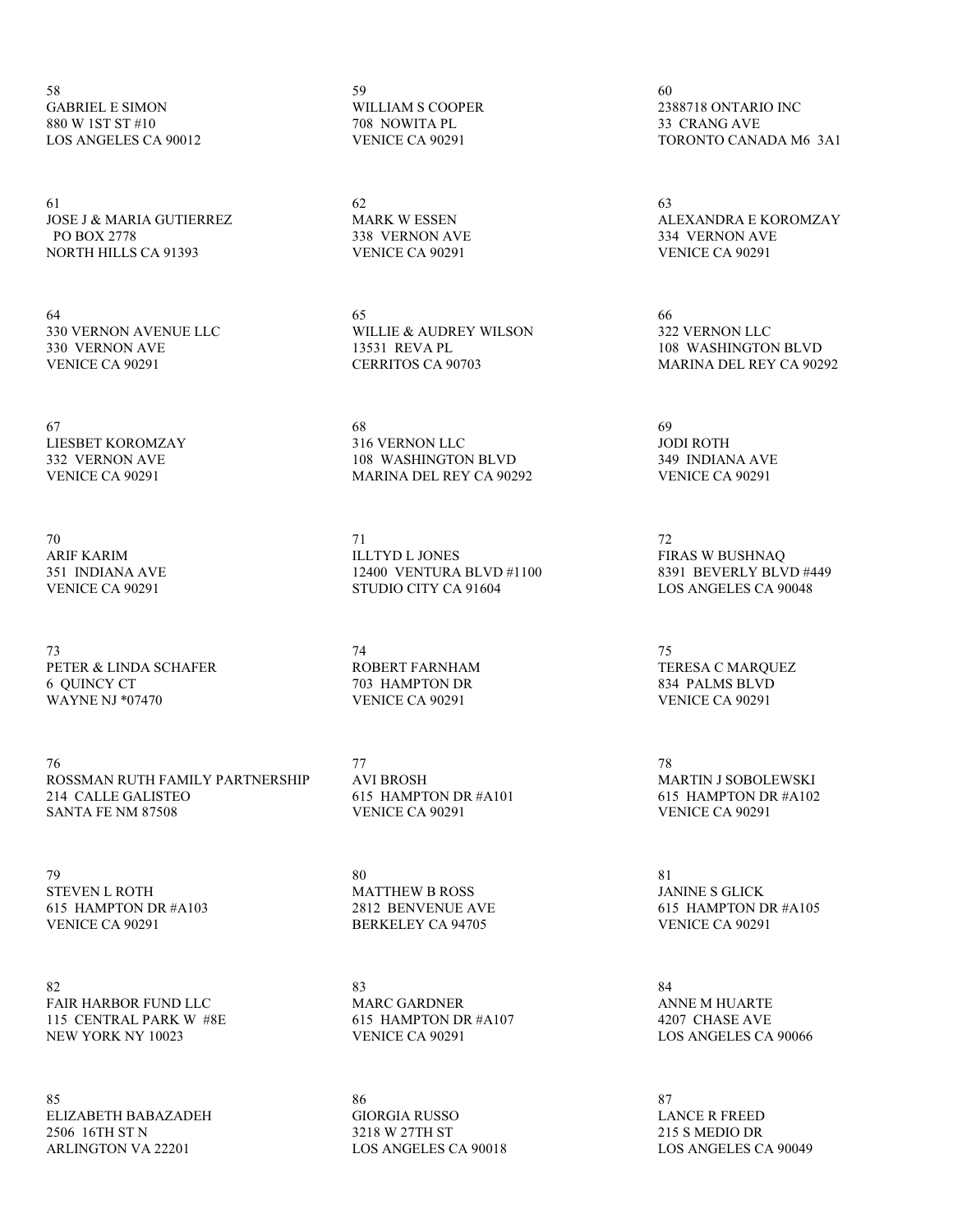58 GABRIEL E SIMON 880 W 1ST ST #10 LOS ANGELES CA 90012

61 JOSE J & MARIA GUTIERREZ PO BOX 2778 NORTH HILLS CA 91393

64 330 VERNON AVENUE LLC 330 VERNON AVE VENICE CA 90291

67 LIESBET KOROMZAY 332 VERNON AVE VENICE CA 90291

70 ARIF KARIM 351 INDIANA AVE VENICE CA 90291

73 PETER & LINDA SCHAFER 6 QUINCY CT WAYNE NJ \*07470

76 ROSSMAN RUTH FAMILY PARTNERSHIP 214 CALLE GALISTEO SANTA FE NM 87508

79 STEVEN L ROTH 615 HAMPTON DR #A103 VENICE CA 90291

82 FAIR HARBOR FUND LLC 115 CENTRAL PARK W #8E NEW YORK NY 10023

85 ELIZABETH BABAZADEH 2506 16TH ST N ARLINGTON VA 22201

59 WILLIAM S COOPER 708 NOWITA PL VENICE CA 90291

62 MARK W ESSEN 338 VERNON AVE VENICE CA 90291

65 WILLIE & AUDREY WILSON 13531 REVA PL CERRITOS CA 90703

68 316 VERNON LLC 108 WASHINGTON BLVD MARINA DEL REY CA 90292

71 ILLTYD L JONES 12400 VENTURA BLVD #1100 STUDIO CITY CA 91604

74 ROBERT FARNHAM 703 HAMPTON DR VENICE CA 90291

77 AVI BROSH 615 HAMPTON DR #A101 VENICE CA 90291

80 MATTHEW B ROSS 2812 BENVENUE AVE BERKELEY CA 94705

83 MARC GARDNER 615 HAMPTON DR #A107 VENICE CA 90291

86 GIORGIA RUSSO 3218 W 27TH ST LOS ANGELES CA 90018 60 2388718 ONTARIO INC 33 CRANG AVE TORONTO CANADA M6 3A1

63 ALEXANDRA E KOROMZAY 334 VERNON AVE VENICE CA 90291

66 322 VERNON LLC 108 WASHINGTON BLVD MARINA DEL REY CA 90292

69 JODI ROTH 349 INDIANA AVE VENICE CA 90291

72 FIRAS W BUSHNAQ 8391 BEVERLY BLVD #449 LOS ANGELES CA 90048

75 TERESA C MARQUEZ 834 PALMS BLVD VENICE CA 90291

78 MARTIN J SOBOLEWSKI 615 HAMPTON DR #A102 VENICE CA 90291

81 JANINE S GLICK 615 HAMPTON DR #A105 VENICE CA 90291

84 ANNE M HUARTE 4207 CHASE AVE LOS ANGELES CA 90066

87 LANCE R FREED 215 S MEDIO DR LOS ANGELES CA 90049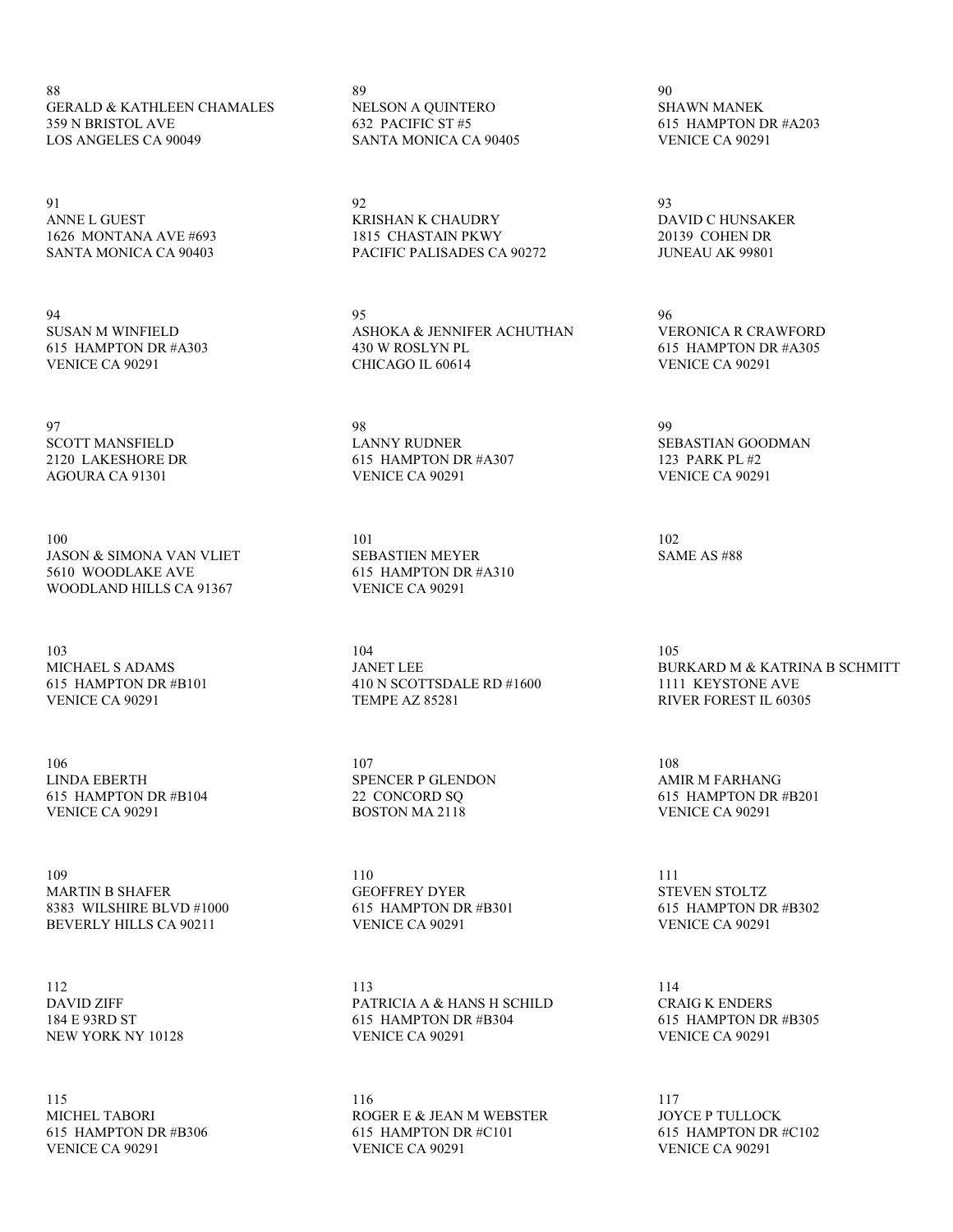88 GERALD & KATHLEEN CHAMALES 359 N BRISTOL AVE LOS ANGELES CA 90049

91 ANNE L GUEST 1626 MONTANA AVE #693 SANTA MONICA CA 90403

94 SUSAN M WINFIELD 615 HAMPTON DR #A303 VENICE CA 90291

97 SCOTT MANSFIELD 2120 LAKESHORE DR AGOURA CA 91301

100 JASON & SIMONA VAN VLIET 5610 WOODLAKE AVE WOODLAND HILLS CA 91367

103 MICHAEL S ADAMS 615 HAMPTON DR #B101 VENICE CA 90291

106 LINDA EBERTH 615 HAMPTON DR #B104 VENICE CA 90291

109 MARTIN B SHAFER 8383 WILSHIRE BLVD #1000 BEVERLY HILLS CA 90211

112 DAVID ZIFF 184 E 93RD ST NEW YORK NY 10128

115 MICHEL TABORI 615 HAMPTON DR #B306 VENICE CA 90291

89 NELSON A QUINTERO 632 PACIFIC ST #5 SANTA MONICA CA 90405

92 KRISHAN K CHAUDRY 1815 CHASTAIN PKWY PACIFIC PALISADES CA 90272

95 ASHOKA & JENNIFER ACHUTHAN 430 W ROSLYN PL CHICAGO IL 60614

98 LANNY RUDNER 615 HAMPTON DR #A307 VENICE CA 90291

101 SEBASTIEN MEYER 615 HAMPTON DR #A310 VENICE CA 90291

104 JANET LEE 410 N SCOTTSDALE RD #1600 TEMPE AZ 85281

107 SPENCER P GLENDON 22 CONCORD SQ BOSTON MA 2118

110 GEOFFREY DYER 615 HAMPTON DR #B301 VENICE CA 90291

113 PATRICIA A & HANS H SCHILD 615 HAMPTON DR #B304 VENICE CA 90291

116 ROGER E & JEAN M WEBSTER 615 HAMPTON DR #C101 VENICE CA 90291

90 SHAWN MANEK 615 HAMPTON DR #A203 VENICE CA 90291

93 DAVID C HUNSAKER 20139 COHEN DR JUNEAU AK 99801

96 VERONICA R CRAWFORD 615 HAMPTON DR #A305 VENICE CA 90291

99 SEBASTIAN GOODMAN 123 PARK PL #2 VENICE CA 90291

102 SAME AS #88

105 BURKARD M & KATRINA B SCHMITT 1111 KEYSTONE AVE RIVER FOREST IL 60305

108 AMIR M FARHANG 615 HAMPTON DR #B201 VENICE CA 90291

111 STEVEN STOLTZ 615 HAMPTON DR #B302 VENICE CA 90291

114 CRAIG K ENDERS 615 HAMPTON DR #B305 VENICE CA 90291

117 JOYCE P TULLOCK 615 HAMPTON DR #C102 VENICE CA 90291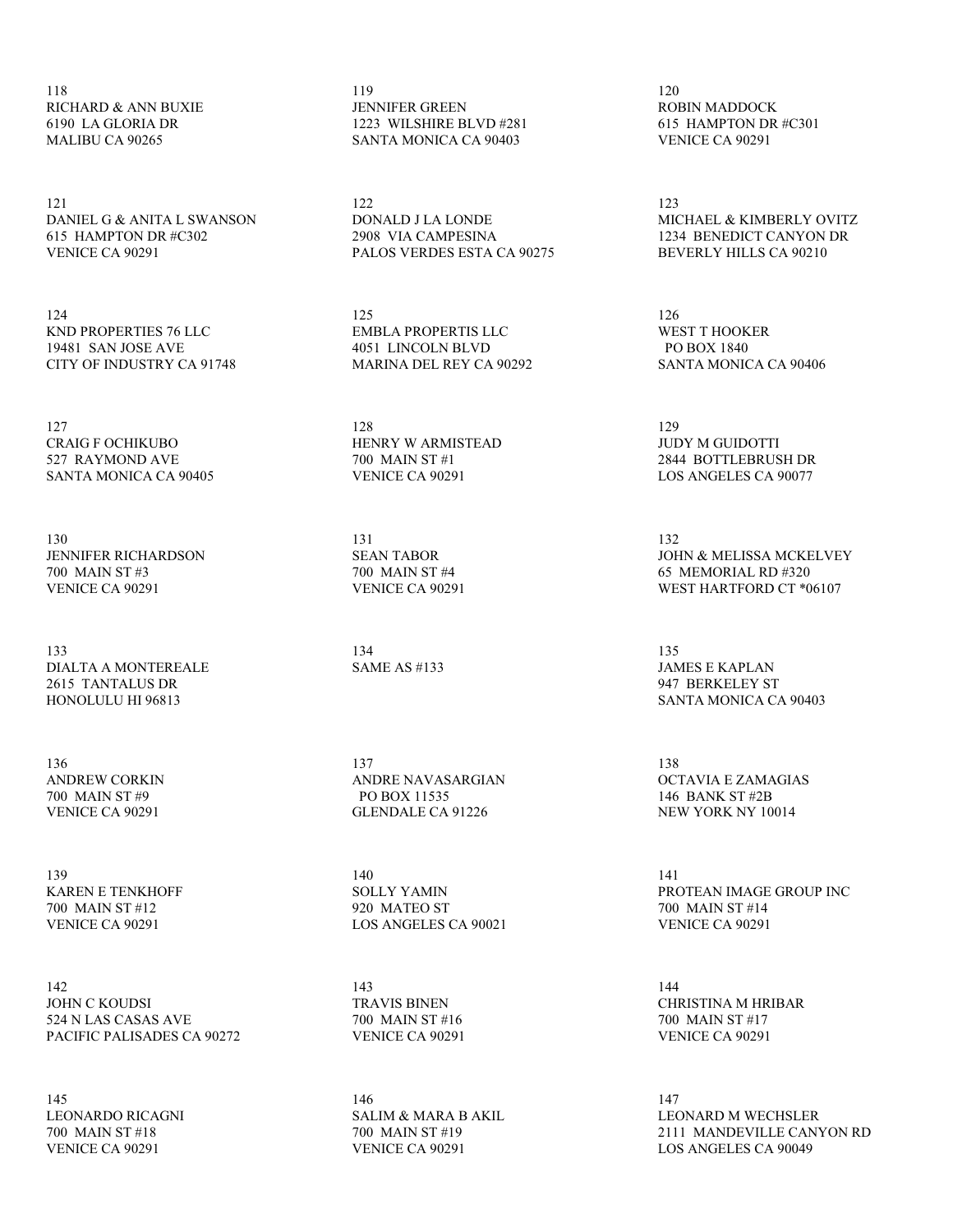118 RICHARD & ANN BUXIE 6190 LA GLORIA DR MALIBU CA 90265

121 DANIEL G & ANITA L SWANSON 615 HAMPTON DR #C302 VENICE CA 90291

124 KND PROPERTIES 76 LLC 19481 SAN JOSE AVE CITY OF INDUSTRY CA 91748

127 CRAIG F OCHIKUBO 527 RAYMOND AVE SANTA MONICA CA 90405

130 JENNIFER RICHARDSON 700 MAIN ST #3 VENICE CA 90291

133 DIALTA A MONTEREALE 2615 TANTALUS DR HONOLULU HI 96813

136 ANDREW CORKIN 700 MAIN ST #9 VENICE CA 90291

139 KAREN E TENKHOFF 700 MAIN ST #12 VENICE CA 90291

142 JOHN C KOUDSI 524 N LAS CASAS AVE PACIFIC PALISADES CA 90272

145 LEONARDO RICAGNI 700 MAIN ST #18 VENICE CA 90291

119 JENNIFER GREEN 1223 WILSHIRE BLVD #281 SANTA MONICA CA 90403

122 DONALD J LA LONDE 2908 VIA CAMPESINA PALOS VERDES ESTA CA 90275

125 EMBLA PROPERTIS LLC 4051 LINCOLN BLVD MARINA DEL REY CA 90292

128 HENRY W ARMISTEAD 700 MAIN ST #1 VENICE CA 90291

131 SEAN TABOR 700 MAIN ST #4 VENICE CA 90291

134 SAME AS #133

137 ANDRE NAVASARGIAN PO BOX 11535 GLENDALE CA 91226

140 SOLLY YAMIN 920 MATEO ST LOS ANGELES CA 90021

143 TRAVIS BINEN 700 MAIN ST #16 VENICE CA 90291

146 SALIM & MARA B AKIL 700 MAIN ST #19 VENICE CA 90291

120 ROBIN MADDOCK 615 HAMPTON DR #C301 VENICE CA 90291

123 MICHAEL & KIMBERLY OVITZ 1234 BENEDICT CANYON DR BEVERLY HILLS CA 90210

126 WEST T HOOKER PO BOX 1840 SANTA MONICA CA 90406

129 JUDY M GUIDOTTI 2844 BOTTLEBRUSH DR LOS ANGELES CA 90077

132 JOHN & MELISSA MCKELVEY 65 MEMORIAL RD #320 WEST HARTFORD CT \*06107

135 JAMES E KAPLAN 947 BERKELEY ST SANTA MONICA CA 90403

138 OCTAVIA E ZAMAGIAS 146 BANK ST #2B NEW YORK NY 10014

141 PROTEAN IMAGE GROUP INC 700 MAIN ST #14 VENICE CA 90291

144 CHRISTINA M HRIBAR 700 MAIN ST #17 VENICE CA 90291

147 LEONARD M WECHSLER 2111 MANDEVILLE CANYON RD LOS ANGELES CA 90049